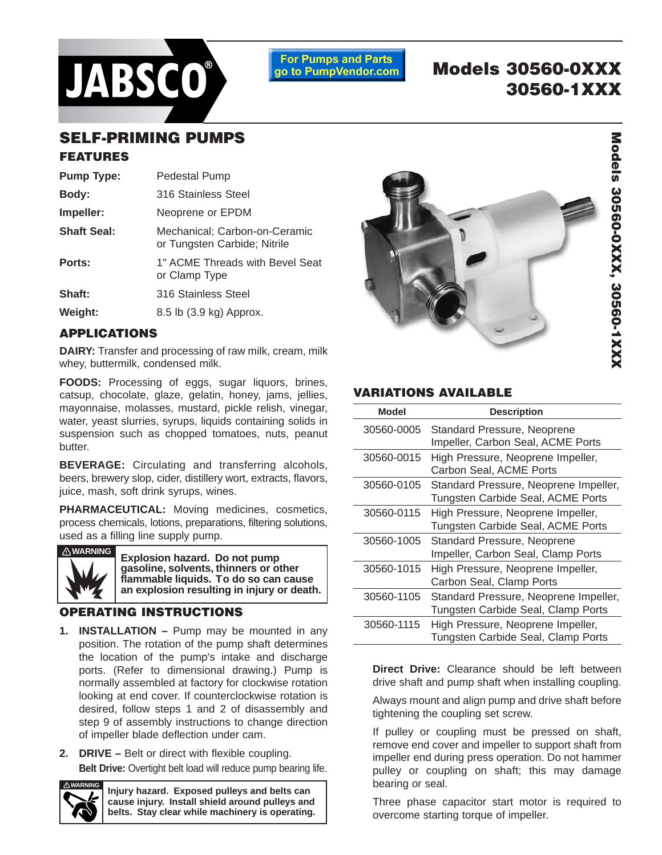

**For Pumps and Parts** go to PumpVendor.com

# **Models 30560-0XXX 30560-1XXX**

## **SELF-PRIMING PUMPS**

## **FEATURES**

| <b>Pump Type:</b>  | <b>Pedestal Pump</b>                                          |
|--------------------|---------------------------------------------------------------|
| Body:              | 316 Stainless Steel                                           |
| Impeller:          | Neoprene or EPDM                                              |
| <b>Shaft Seal:</b> | Mechanical; Carbon-on-Ceramic<br>or Tungsten Carbide; Nitrile |
| Ports:             | 1" ACME Threads with Bevel Seat<br>or Clamp Type              |
| Shaft:             | 316 Stainless Steel                                           |
| Weight:            | 8.5 lb (3.9 kg) Approx.                                       |

## **APPLICATIONS**

**DAIRY:** Transfer and processing of raw milk, cream, milk whey, buttermilk, condensed milk.

**FOODS:** Processing of eggs, sugar liquors, brines, catsup, chocolate, glaze, gelatin, honey, jams, jellies, mayonnaise, molasses, mustard, pickle relish, vinegar, water, yeast slurries, syrups, liquids containing solids in suspension such as chopped tomatoes, nuts, peanut butter.

**BEVERAGE:** Circulating and transferring alcohols, beers, brewery slop, cider, distillery wort, extracts, flavors, juice, mash, soft drink syrups, wines.

**PHARMACEUTICAL:** Moving medicines, cosmetics, process chemicals, lotions, preparations, filtering solutions, used as a filling line supply pump.



**! WARNING Explosion hazard. Do not pump gasoline, solvents, thinners or other flammable liquids. To do so can cause an explosion resulting in injury or death.**

### **OPERATING INSTRUCTIONS**

- **1. INSTALLATION** Pump may be mounted in any position. The rotation of the pump shaft determines the location of the pump's intake and discharge ports. (Refer to dimensional drawing.) Pump is normally assembled at factory for clockwise rotation looking at end cover. If counterclockwise rotation is desired, follow steps 1 and 2 of disassembly and step 9 of assembly instructions to change direction of impeller blade deflection under cam.
- **2. DRIVE** Belt or direct with flexible coupling. **Belt Drive:** Overtight belt load will reduce pump bearing life.



**Injury hazard. Exposed pulleys and belts can cause injury. Install shield around pulleys and belts. Stay clear while machinery is operating.**



## **VARIATIONS AVAILABLE**

| <b>Model</b> | <b>Description</b>                                                          |
|--------------|-----------------------------------------------------------------------------|
| 30560-0005   | Standard Pressure, Neoprene<br>Impeller, Carbon Seal, ACME Ports            |
| 30560-0015   | High Pressure, Neoprene Impeller,<br>Carbon Seal, ACME Ports                |
| 30560-0105   | Standard Pressure, Neoprene Impeller,<br>Tungsten Carbide Seal, ACME Ports  |
| 30560-0115   | High Pressure, Neoprene Impeller,<br>Tungsten Carbide Seal, ACME Ports      |
| 30560-1005   | Standard Pressure, Neoprene<br>Impeller, Carbon Seal, Clamp Ports           |
| 30560-1015   | High Pressure, Neoprene Impeller,<br>Carbon Seal, Clamp Ports               |
| 30560-1105   | Standard Pressure, Neoprene Impeller,<br>Tungsten Carbide Seal, Clamp Ports |
| 30560-1115   | High Pressure, Neoprene Impeller,<br>Tungsten Carbide Seal, Clamp Ports     |

**Direct Drive:** Clearance should be left between drive shaft and pump shaft when installing coupling.

Always mount and align pump and drive shaft before tightening the coupling set screw.

If pulley or coupling must be pressed on shaft, remove end cover and impeller to support shaft from impeller end during press operation. Do not hammer pulley or coupling on shaft; this may damage bearing or seal.

Three phase capacitor start motor is required to overcome starting torque of impeller.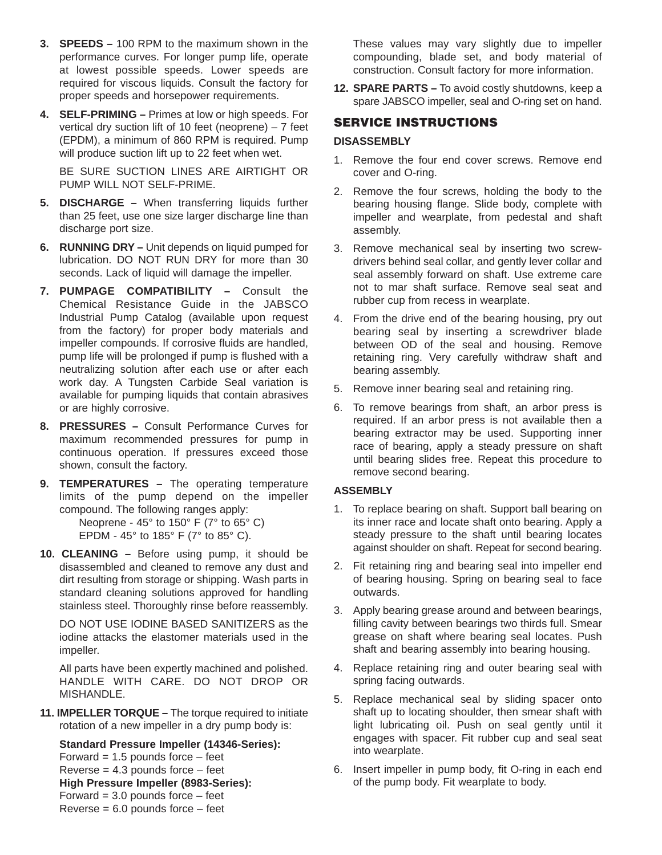- **3. SPEEDS** 100 RPM to the maximum shown in the performance curves. For longer pump life, operate at lowest possible speeds. Lower speeds are required for viscous liquids. Consult the factory for proper speeds and horsepower requirements.
- **4. SELF-PRIMING** Primes at low or high speeds. For vertical dry suction lift of 10 feet (neoprene) – 7 feet (EPDM), a minimum of 860 RPM is required. Pump will produce suction lift up to 22 feet when wet.

BE SURE SUCTION LINES ARE AIRTIGHT OR PUMP WILL NOT SELF-PRIME.

- **5. DISCHARGE** When transferring liquids further than 25 feet, use one size larger discharge line than discharge port size.
- **6. RUNNING DRY** Unit depends on liquid pumped for lubrication. DO NOT RUN DRY for more than 30 seconds. Lack of liquid will damage the impeller.
- **7. PUMPAGE COMPATIBILITY** Consult the Chemical Resistance Guide in the JABSCO Industrial Pump Catalog (available upon request from the factory) for proper body materials and impeller compounds. If corrosive fluids are handled, pump life will be prolonged if pump is flushed with a neutralizing solution after each use or after each work day. A Tungsten Carbide Seal variation is available for pumping liquids that contain abrasives or are highly corrosive.
- **8. PRESSURES** Consult Performance Curves for maximum recommended pressures for pump in continuous operation. If pressures exceed those shown, consult the factory.
- **9. TEMPERATURES** The operating temperature limits of the pump depend on the impeller compound. The following ranges apply: Neoprene - 45° to 150° F (7° to 65° C) EPDM - 45° to 185° F (7° to 85° C).
- **10. CLEANING** Before using pump, it should be disassembled and cleaned to remove any dust and dirt resulting from storage or shipping. Wash parts in standard cleaning solutions approved for handling stainless steel. Thoroughly rinse before reassembly.

DO NOT USE IODINE BASED SANITIZERS as the iodine attacks the elastomer materials used in the impeller.

All parts have been expertly machined and polished. HANDLE WITH CARE. DO NOT DROP OR MISHANDLE.

**11. IMPELLER TORQUE –** The torque required to initiate rotation of a new impeller in a dry pump body is:

**Standard Pressure Impeller (14346-Series):** Forward  $= 1.5$  pounds force  $-$  feet

Reverse  $= 4.3$  pounds force  $-$  feet **High Pressure Impeller (8983-Series):** Forward  $= 3.0$  pounds force  $-$  feet Reverse  $= 6.0$  pounds force  $-$  feet

These values may vary slightly due to impeller compounding, blade set, and body material of construction. Consult factory for more information.

**12. SPARE PARTS –** To avoid costly shutdowns, keep a spare JABSCO impeller, seal and O-ring set on hand.

#### **SERVICE INSTRUCTIONS**

#### **DISASSEMBLY**

- 1. Remove the four end cover screws. Remove end cover and O-ring.
- 2. Remove the four screws, holding the body to the bearing housing flange. Slide body, complete with impeller and wearplate, from pedestal and shaft assembly.
- 3. Remove mechanical seal by inserting two screwdrivers behind seal collar, and gently lever collar and seal assembly forward on shaft. Use extreme care not to mar shaft surface. Remove seal seat and rubber cup from recess in wearplate.
- 4. From the drive end of the bearing housing, pry out bearing seal by inserting a screwdriver blade between OD of the seal and housing. Remove retaining ring. Very carefully withdraw shaft and bearing assembly.
- 5. Remove inner bearing seal and retaining ring.
- 6. To remove bearings from shaft, an arbor press is required. If an arbor press is not available then a bearing extractor may be used. Supporting inner race of bearing, apply a steady pressure on shaft until bearing slides free. Repeat this procedure to remove second bearing.

#### **ASSEMBLY**

- 1. To replace bearing on shaft. Support ball bearing on its inner race and locate shaft onto bearing. Apply a steady pressure to the shaft until bearing locates against shoulder on shaft. Repeat for second bearing.
- 2. Fit retaining ring and bearing seal into impeller end of bearing housing. Spring on bearing seal to face outwards.
- 3. Apply bearing grease around and between bearings, filling cavity between bearings two thirds full. Smear grease on shaft where bearing seal locates. Push shaft and bearing assembly into bearing housing.
- 4. Replace retaining ring and outer bearing seal with spring facing outwards.
- 5. Replace mechanical seal by sliding spacer onto shaft up to locating shoulder, then smear shaft with light lubricating oil. Push on seal gently until it engages with spacer. Fit rubber cup and seal seat into wearplate.
- 6. Insert impeller in pump body, fit O-ring in each end of the pump body. Fit wearplate to body.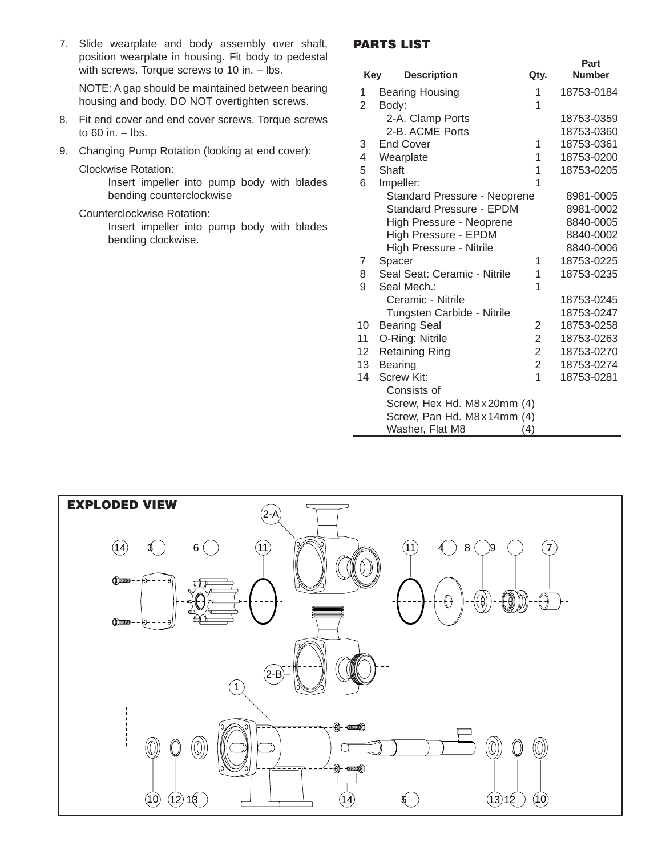7. Slide wearplate and body assembly over shaft, position wearplate in housing. Fit body to pedestal with screws. Torque screws to 10 in. - lbs.

NOTE: A gap should be maintained between bearing housing and body. DO NOT overtighten screws.

- 8. Fit end cover and end cover screws. Torque screws to  $60$  in.  $-$  lbs.
- 9. Changing Pump Rotation (looking at end cover):

Clockwise Rotation:

Insert impeller into pump body with blades bending counterclockwise

#### Counterclockwise Rotation:

Insert impeller into pump body with blades bending clockwise.

#### **PARTS LIST**

|            |                                 |                | Part          |  |
|------------|---------------------------------|----------------|---------------|--|
| <b>Key</b> | <b>Description</b>              | Qty.           | <b>Number</b> |  |
| 1          | <b>Bearing Housing</b>          | 1              | 18753-0184    |  |
| 2          | Body:                           |                |               |  |
|            | 2-A. Clamp Ports                |                | 18753-0359    |  |
|            | 2-B. ACME Ports                 |                | 18753-0360    |  |
| 3          | <b>End Cover</b>                | 1              | 18753-0361    |  |
| 4          | Wearplate                       | 1              | 18753-0200    |  |
| 5          | Shaft                           | 1              | 18753-0205    |  |
| 6          | Impeller:                       | 1              |               |  |
|            | Standard Pressure - Neoprene    |                | 8981-0005     |  |
|            | <b>Standard Pressure - EPDM</b> |                | 8981-0002     |  |
|            | High Pressure - Neoprene        |                | 8840-0005     |  |
|            | <b>High Pressure - EPDM</b>     |                | 8840-0002     |  |
|            | High Pressure - Nitrile         |                | 8840-0006     |  |
| 7          | Spacer                          | 1              | 18753-0225    |  |
| 8          | Seal Seat: Ceramic - Nitrile    | 1              | 18753-0235    |  |
| 9          | Seal Mech.:                     | 1              |               |  |
|            | Ceramic - Nitrile               |                | 18753-0245    |  |
|            | Tungsten Carbide - Nitrile      |                | 18753-0247    |  |
| 10         | <b>Bearing Seal</b>             | 2              | 18753-0258    |  |
| 11         | O-Ring: Nitrile                 | $\overline{2}$ | 18753-0263    |  |
| 12         | Retaining Ring                  | $\overline{2}$ | 18753-0270    |  |
| 13         | <b>Bearing</b>                  | $\overline{2}$ | 18753-0274    |  |
| 14         | Screw Kit:                      | $\overline{1}$ | 18753-0281    |  |
|            | Consists of                     |                |               |  |
|            | Screw, Hex Hd. M8x20mm (4)      |                |               |  |
|            | Screw, Pan Hd. M8x14mm (4)      |                |               |  |
|            | Washer, Flat M8                 | (4)            |               |  |